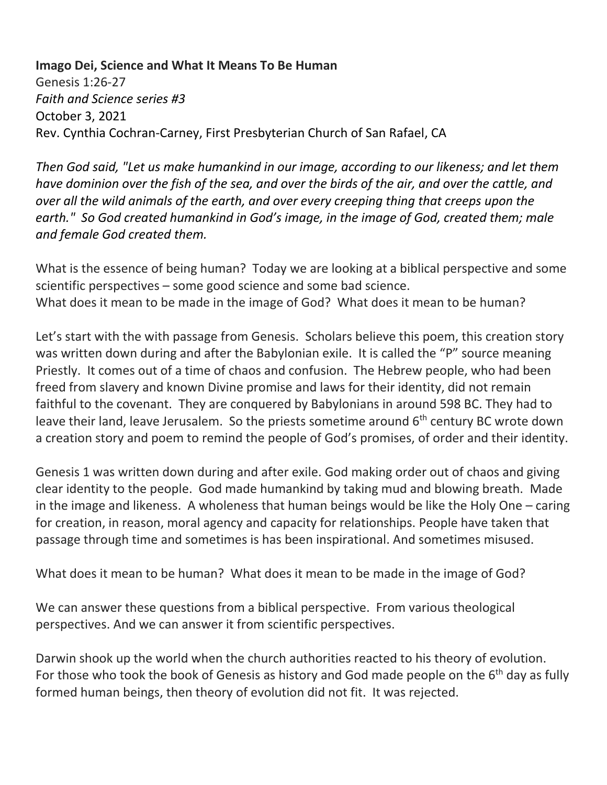**Imago Dei, Science and What It Means To Be Human** Genesis 1:26-27 *Faith and Science series #3* October 3, 2021 Rev. Cynthia Cochran-Carney, First Presbyterian Church of San Rafael, CA

*Then God said, "Let us make humankind in our image, according to our likeness; and let them have dominion over the fish of the sea, and over the birds of the air, and over the cattle, and over all the wild animals of the earth, and over every creeping thing that creeps upon the earth." So God created humankind in God's image, in the image of God, created them; male and female God created them.*

What is the essence of being human? Today we are looking at a biblical perspective and some scientific perspectives – some good science and some bad science. What does it mean to be made in the image of God? What does it mean to be human?

Let's start with the with passage from Genesis. Scholars believe this poem, this creation story was written down during and after the Babylonian exile. It is called the "P" source meaning Priestly. It comes out of a time of chaos and confusion. The Hebrew people, who had been freed from slavery and known Divine promise and laws for their identity, did not remain faithful to the covenant. They are conquered by Babylonians in around 598 BC. They had to leave their land, leave Jerusalem. So the priests sometime around 6<sup>th</sup> century BC wrote down a creation story and poem to remind the people of God's promises, of order and their identity.

Genesis 1 was written down during and after exile. God making order out of chaos and giving clear identity to the people. God made humankind by taking mud and blowing breath. Made in the image and likeness. A wholeness that human beings would be like the Holy One – caring for creation, in reason, moral agency and capacity for relationships. People have taken that passage through time and sometimes is has been inspirational. And sometimes misused.

What does it mean to be human? What does it mean to be made in the image of God?

We can answer these questions from a biblical perspective. From various theological perspectives. And we can answer it from scientific perspectives.

Darwin shook up the world when the church authorities reacted to his theory of evolution. For those who took the book of Genesis as history and God made people on the  $6<sup>th</sup>$  day as fully formed human beings, then theory of evolution did not fit. It was rejected.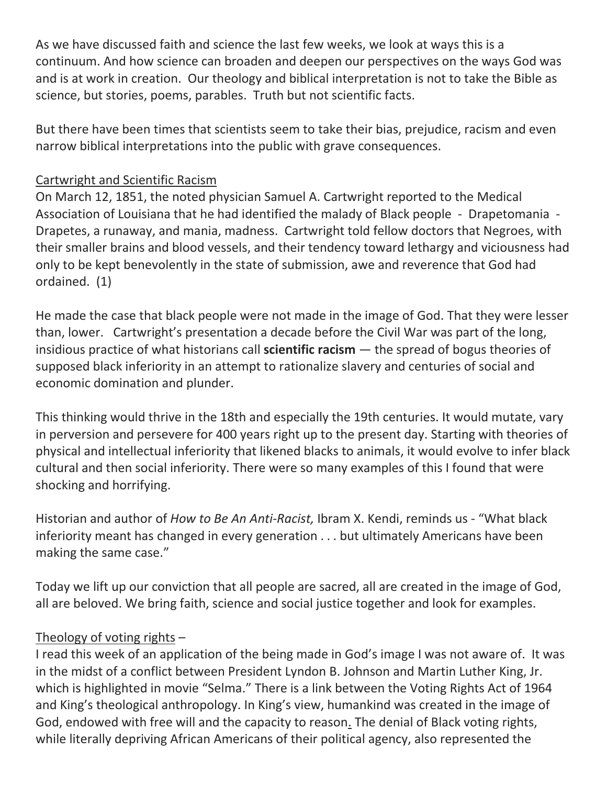As we have discussed faith and science the last few weeks, we look at ways this is a continuum. And how science can broaden and deepen our perspectives on the ways God was and is at work in creation. Our theology and biblical interpretation is not to take the Bible as science, but stories, poems, parables. Truth but not scientific facts.

But there have been times that scientists seem to take their bias, prejudice, racism and even narrow biblical interpretations into the public with grave consequences.

## Cartwright and Scientific Racism

On March 12, 1851, the noted physician Samuel A. Cartwright reported to the Medical Association of Louisiana that he had identified the malady of Black people - Drapetomania - Drapetes, a runaway, and mania, madness. Cartwright told fellow doctors that Negroes, with their smaller brains and blood vessels, and their tendency toward lethargy and viciousness had only to be kept benevolently in the state of submission, awe and reverence that God had ordained. (1)

He made the case that black people were not made in the image of God. That they were lesser than, lower. Cartwright's presentation a decade before the Civil War was part of the long, insidious practice of what historians call **scientific racism** — the spread of bogus theories of supposed black inferiority in an attempt to rationalize slavery and centuries of social and economic domination and plunder.

This thinking would thrive in the 18th and especially the 19th centuries. It would mutate, vary in perversion and persevere for 400 years right up to the present day. Starting with theories of physical and intellectual inferiority that likened blacks to animals, it would evolve to infer black cultural and then social inferiority. There were so many examples of this I found that were shocking and horrifying.

Historian and author of *How to Be An Anti-Racist,* Ibram X. Kendi, reminds us - "What black inferiority meant has changed in every generation . . . but ultimately Americans have been making the same case."

Today we lift up our conviction that all people are sacred, all are created in the image of God, all are beloved. We bring faith, science and social justice together and look for examples.

## Theology of voting rights –

I read this week of an application of the being made in God's image I was not aware of. It was in the midst of a conflict between President Lyndon B. Johnson and Martin Luther King, Jr. which is highlighted in movie "Selma." There is a link between the Voting Rights Act of 1964 and King's theological anthropology. In King's view, humankind was created in the image of God, endowed with free will and the capacity to reason. The denial of Black voting rights, while literally depriving African Americans of their political agency, also represented the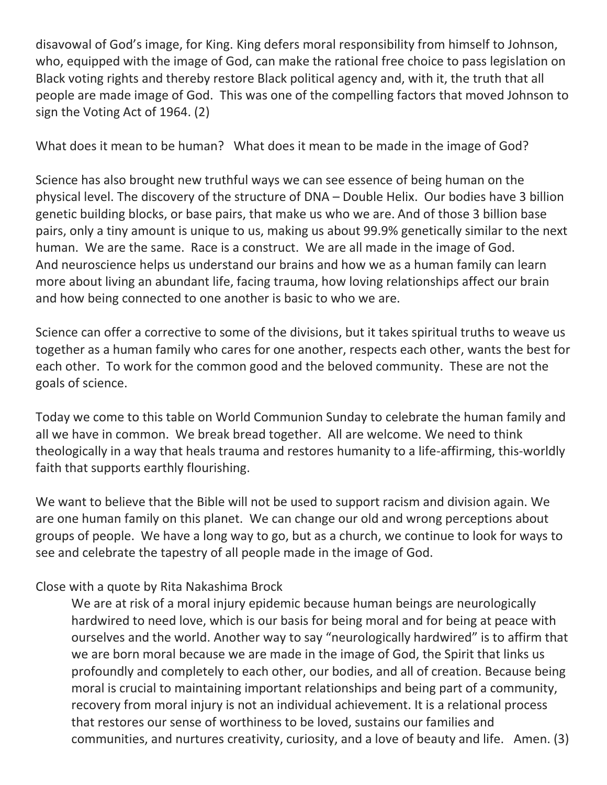disavowal of God's image, for King. King defers moral responsibility from himself to Johnson, who, equipped with the image of God, can make the rational free choice to pass legislation on Black voting rights and thereby restore Black political agency and, with it, the truth that all people are made image of God. This was one of the compelling factors that moved Johnson to sign the Voting Act of 1964. (2)

What does it mean to be human? What does it mean to be made in the image of God?

Science has also brought new truthful ways we can see essence of being human on the physical level. The discovery of the structure of DNA – Double Helix. Our bodies have 3 billion genetic building blocks, or base pairs, that make us who we are. And of those 3 billion base pairs, only a tiny amount is unique to us, making us about 99.9% genetically similar to the next human. We are the same. Race is a construct. We are all made in the image of God. And neuroscience helps us understand our brains and how we as a human family can learn more about living an abundant life, facing trauma, how loving relationships affect our brain and how being connected to one another is basic to who we are.

Science can offer a corrective to some of the divisions, but it takes spiritual truths to weave us together as a human family who cares for one another, respects each other, wants the best for each other. To work for the common good and the beloved community. These are not the goals of science.

Today we come to this table on World Communion Sunday to celebrate the human family and all we have in common. We break bread together. All are welcome. We need to think theologically in a way that heals trauma and restores humanity to a life-affirming, this-worldly faith that supports earthly flourishing.

We want to believe that the Bible will not be used to support racism and division again. We are one human family on this planet. We can change our old and wrong perceptions about groups of people. We have a long way to go, but as a church, we continue to look for ways to see and celebrate the tapestry of all people made in the image of God.

## Close with a quote by Rita Nakashima Brock

We are at risk of a moral injury epidemic because human beings are neurologically hardwired to need love, which is our basis for being moral and for being at peace with ourselves and the world. Another way to say "neurologically hardwired" is to affirm that we are born moral because we are made in the image of God, the Spirit that links us profoundly and completely to each other, our bodies, and all of creation. Because being moral is crucial to maintaining important relationships and being part of a community, recovery from moral injury is not an individual achievement. It is a relational process that restores our sense of worthiness to be loved, sustains our families and communities, and nurtures creativity, curiosity, and a love of beauty and life. Amen. (3)